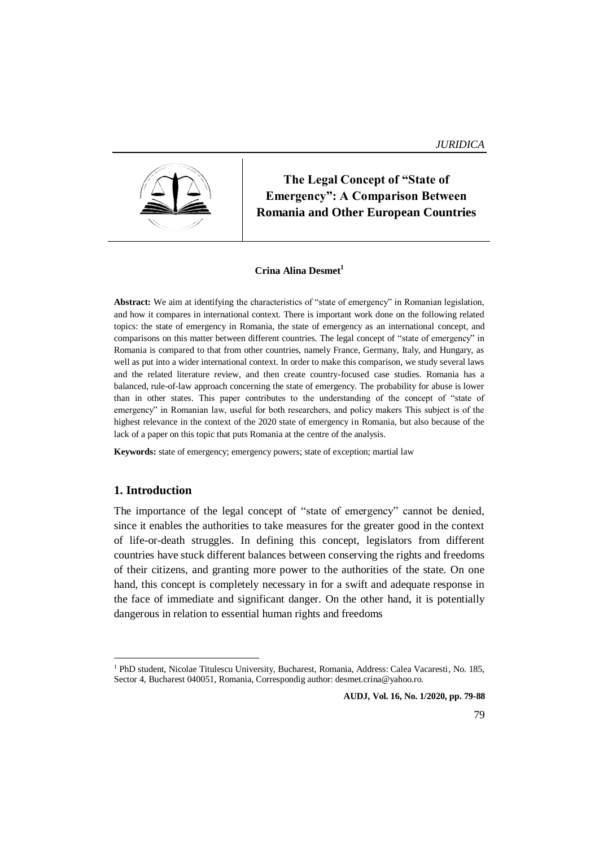

**The Legal Concept of "State of Emergency": A Comparison Between Romania and Other European Countries**

#### **Crina Alina Desmet<sup>1</sup>**

**Abstract:** We aim at identifying the characteristics of "state of emergency" in Romanian legislation, and how it compares in international context. There is important work done on the following related topics: the state of emergency in Romania, the state of emergency as an international concept, and comparisons on this matter between different countries. The legal concept of "state of emergency" in Romania is compared to that from other countries, namely France, Germany, Italy, and Hungary, as well as put into a wider international context. In order to make this comparison, we study several laws and the related literature review, and then create country-focused case studies. Romania has a balanced, rule-of-law approach concerning the state of emergency. The probability for abuse is lower than in other states. This paper contributes to the understanding of the concept of "state of emergency" in Romanian law, useful for both researchers, and policy makers This subject is of the highest relevance in the context of the 2020 state of emergency in Romania, but also because of the lack of a paper on this topic that puts Romania at the centre of the analysis.

**Keywords:** state of emergency; emergency powers; state of exception; martial law

#### **1. Introduction**

**.** 

The importance of the legal concept of "state of emergency" cannot be denied, since it enables the authorities to take measures for the greater good in the context of life-or-death struggles. In defining this concept, legislators from different countries have stuck different balances between conserving the rights and freedoms of their citizens, and granting more power to the authorities of the state. On one hand, this concept is completely necessary in for a swift and adequate response in the face of immediate and significant danger. On the other hand, it is potentially dangerous in relation to essential human rights and freedoms

<sup>1</sup> PhD student, Nicolae Titulescu University, Bucharest, Romania, Address: Calea Vacaresti, No. 185, Sector 4, Bucharest 040051, Romania, Correspondig author: desmet.crina@yahoo.ro.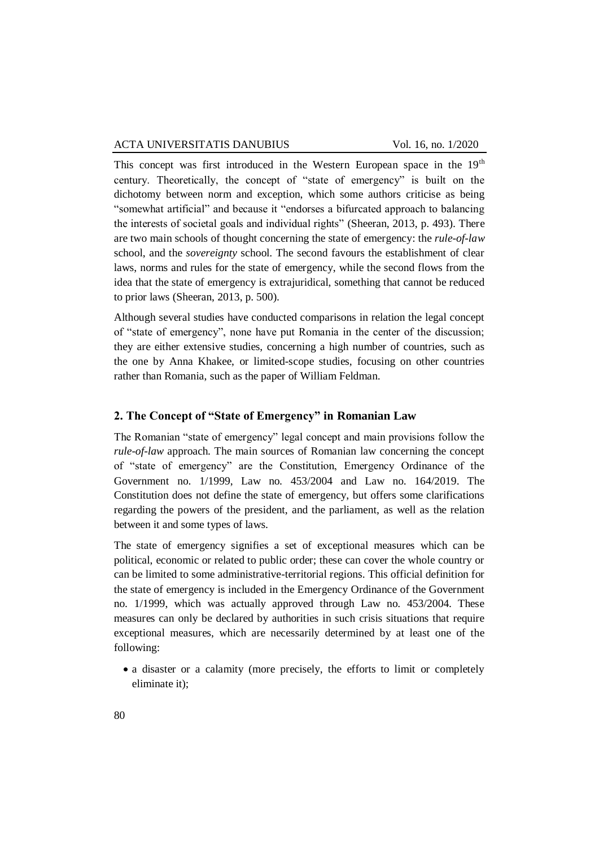#### ACTA UNIVERSITATIS DANUBIUS Vol. 16, no. 1/2020

This concept was first introduced in the Western European space in the 19<sup>th</sup> century. Theoretically, the concept of "state of emergency" is built on the dichotomy between norm and exception, which some authors criticise as being "somewhat artificial" and because it "endorses a bifurcated approach to balancing the interests of societal goals and individual rights" (Sheeran, 2013, p. 493). There are two main schools of thought concerning the state of emergency: the *rule-of-law*  school, and the *sovereignty* school. The second favours the establishment of clear laws, norms and rules for the state of emergency, while the second flows from the idea that the state of emergency is extrajuridical, something that cannot be reduced to prior laws (Sheeran, 2013, p. 500).

Although several studies have conducted comparisons in relation the legal concept of "state of emergency", none have put Romania in the center of the discussion; they are either extensive studies, concerning a high number of countries, such as the one by Anna Khakee, or limited-scope studies, focusing on other countries rather than Romania, such as the paper of William Feldman.

### **2. The Concept of "State of Emergency" in Romanian Law**

The Romanian "state of emergency" legal concept and main provisions follow the *rule-of-law* approach. The main sources of Romanian law concerning the concept of "state of emergency" are the Constitution, Emergency Ordinance of the Government no. 1/1999, Law no. 453/2004 and Law no. 164/2019. The Constitution does not define the state of emergency, but offers some clarifications regarding the powers of the president, and the parliament, as well as the relation between it and some types of laws.

The state of emergency signifies a set of exceptional measures which can be political, economic or related to public order; these can cover the whole country or can be limited to some administrative-territorial regions. This official definition for the state of emergency is included in the Emergency Ordinance of the Government no. 1/1999, which was actually approved through Law no. 453/2004. These measures can only be declared by authorities in such crisis situations that require exceptional measures, which are necessarily determined by at least one of the following:

• a disaster or a calamity (more precisely, the efforts to limit or completely eliminate it);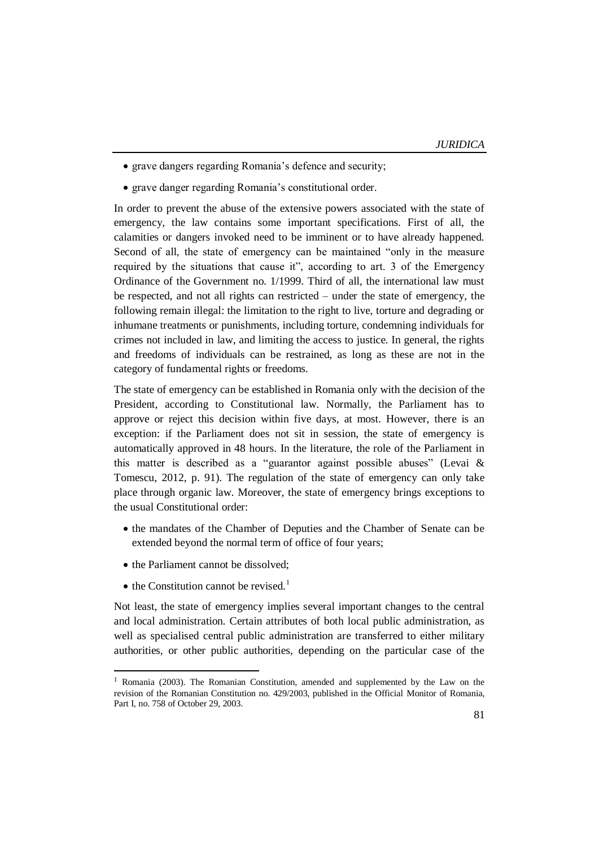- grave dangers regarding Romania's defence and security;
- grave danger regarding Romania's constitutional order.

In order to prevent the abuse of the extensive powers associated with the state of emergency, the law contains some important specifications. First of all, the calamities or dangers invoked need to be imminent or to have already happened. Second of all, the state of emergency can be maintained "only in the measure required by the situations that cause it", according to art. 3 of the Emergency Ordinance of the Government no. 1/1999. Third of all, the international law must be respected, and not all rights can restricted – under the state of emergency, the following remain illegal: the limitation to the right to live, torture and degrading or inhumane treatments or punishments, including torture, condemning individuals for crimes not included in law, and limiting the access to justice. In general, the rights and freedoms of individuals can be restrained, as long as these are not in the category of fundamental rights or freedoms.

The state of emergency can be established in Romania only with the decision of the President, according to Constitutional law. Normally, the Parliament has to approve or reject this decision within five days, at most. However, there is an exception: if the Parliament does not sit in session, the state of emergency is automatically approved in 48 hours. In the literature, the role of the Parliament in this matter is described as a "guarantor against possible abuses" (Levai & Tomescu, 2012, p. 91). The regulation of the state of emergency can only take place through organic law. Moreover, the state of emergency brings exceptions to the usual Constitutional order:

- the mandates of the Chamber of Deputies and the Chamber of Senate can be extended beyond the normal term of office of four years;
- the Parliament cannot be dissolved;
- $\bullet$  the Constitution cannot be revised.<sup>1</sup>

**.** 

Not least, the state of emergency implies several important changes to the central and local administration. Certain attributes of both local public administration, as well as specialised central public administration are transferred to either military authorities, or other public authorities, depending on the particular case of the

<sup>&</sup>lt;sup>1</sup> Romania (2003). The Romanian Constitution, amended and supplemented by the Law on the revision of the Romanian Constitution no. 429/2003, published in the Official Monitor of Romania, Part I, no. 758 of October 29, 2003.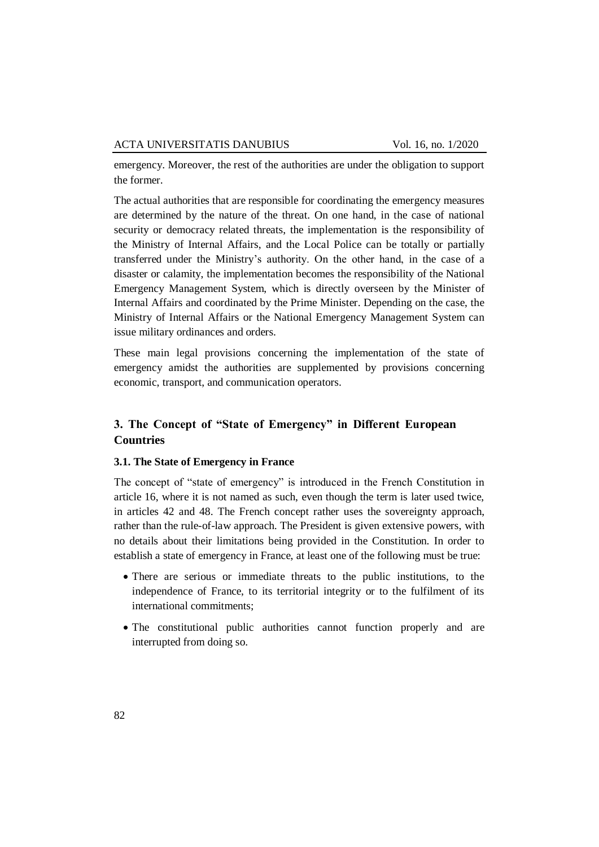emergency. Moreover, the rest of the authorities are under the obligation to support the former.

The actual authorities that are responsible for coordinating the emergency measures are determined by the nature of the threat. On one hand, in the case of national security or democracy related threats, the implementation is the responsibility of the Ministry of Internal Affairs, and the Local Police can be totally or partially transferred under the Ministry's authority. On the other hand, in the case of a disaster or calamity, the implementation becomes the responsibility of the National Emergency Management System, which is directly overseen by the Minister of Internal Affairs and coordinated by the Prime Minister. Depending on the case, the Ministry of Internal Affairs or the National Emergency Management System can issue military ordinances and orders.

These main legal provisions concerning the implementation of the state of emergency amidst the authorities are supplemented by provisions concerning economic, transport, and communication operators.

# **3. The Concept of "State of Emergency" in Different European Countries**

### **3.1. The State of Emergency in France**

The concept of "state of emergency" is introduced in the French Constitution in article 16, where it is not named as such, even though the term is later used twice, in articles 42 and 48. The French concept rather uses the sovereignty approach, rather than the rule-of-law approach. The President is given extensive powers, with no details about their limitations being provided in the Constitution. In order to establish a state of emergency in France, at least one of the following must be true:

- There are serious or immediate threats to the public institutions, to the independence of France, to its territorial integrity or to the fulfilment of its international commitments;
- The constitutional public authorities cannot function properly and are interrupted from doing so.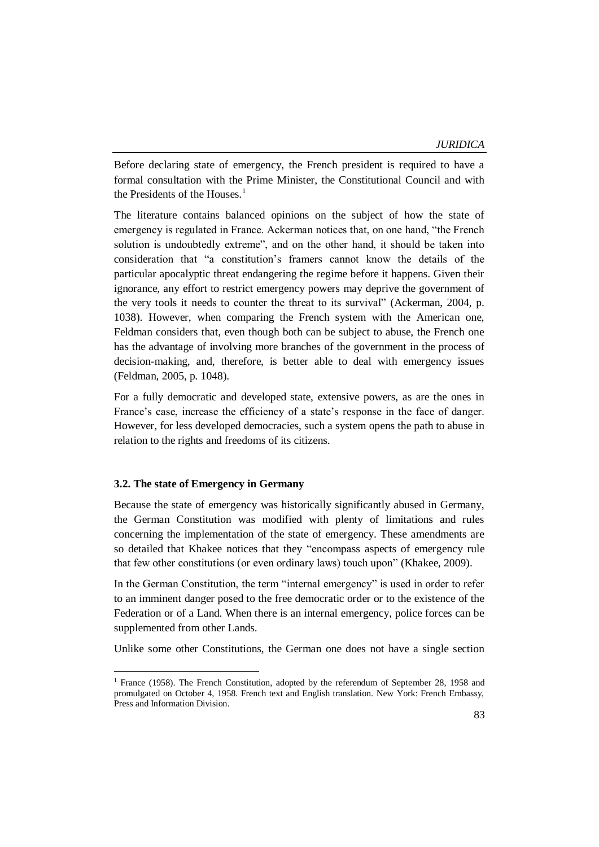Before declaring state of emergency, the French president is required to have a formal consultation with the Prime Minister, the Constitutional Council and with the Presidents of the Houses. $<sup>1</sup>$ </sup>

The literature contains balanced opinions on the subject of how the state of emergency is regulated in France. Ackerman notices that, on one hand, "the French solution is undoubtedly extreme", and on the other hand, it should be taken into consideration that "a constitution's framers cannot know the details of the particular apocalyptic threat endangering the regime before it happens. Given their ignorance, any effort to restrict emergency powers may deprive the government of the very tools it needs to counter the threat to its survival" (Ackerman, 2004, p. 1038). However, when comparing the French system with the American one, Feldman considers that, even though both can be subject to abuse, the French one has the advantage of involving more branches of the government in the process of decision-making, and, therefore, is better able to deal with emergency issues (Feldman, 2005, p. 1048).

For a fully democratic and developed state, extensive powers, as are the ones in France's case, increase the efficiency of a state's response in the face of danger. However, for less developed democracies, such a system opens the path to abuse in relation to the rights and freedoms of its citizens.

#### **3.2. The state of Emergency in Germany**

-

Because the state of emergency was historically significantly abused in Germany, the German Constitution was modified with plenty of limitations and rules concerning the implementation of the state of emergency. These amendments are so detailed that Khakee notices that they "encompass aspects of emergency rule that few other constitutions (or even ordinary laws) touch upon" (Khakee, 2009).

In the German Constitution, the term "internal emergency" is used in order to refer to an imminent danger posed to the free democratic order or to the existence of the Federation or of a Land. When there is an internal emergency, police forces can be supplemented from other Lands.

Unlike some other Constitutions, the German one does not have a single section

<sup>1</sup> France (1958). The French Constitution, adopted by the referendum of September 28, 1958 and promulgated on October 4, 1958. French text and English translation. New York: French Embassy, Press and Information Division.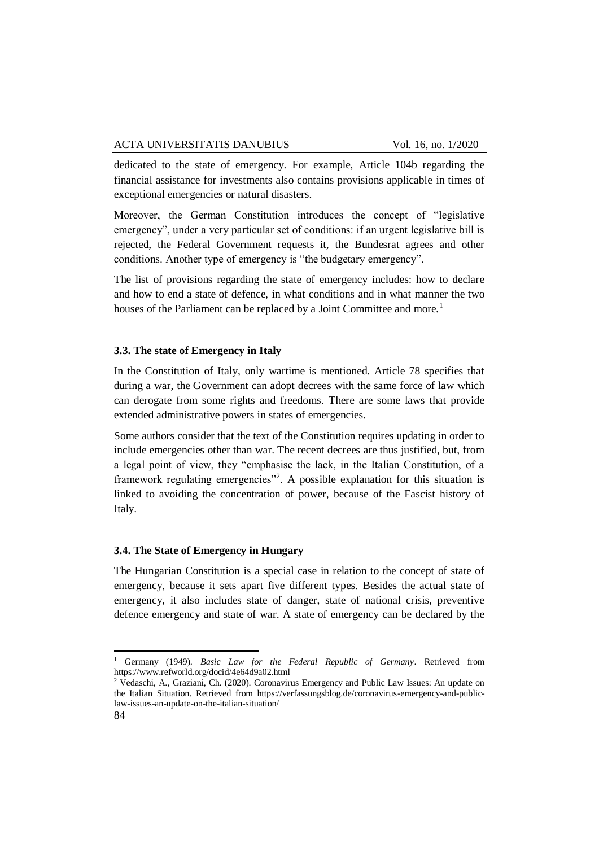dedicated to the state of emergency. For example, Article 104b regarding the financial assistance for investments also contains provisions applicable in times of exceptional emergencies or natural disasters.

Moreover, the German Constitution introduces the concept of "legislative emergency", under a very particular set of conditions: if an urgent legislative bill is rejected, the Federal Government requests it, the Bundesrat agrees and other conditions. Another type of emergency is "the budgetary emergency".

The list of provisions regarding the state of emergency includes: how to declare and how to end a state of defence, in what conditions and in what manner the two houses of the Parliament can be replaced by a Joint Committee and more.<sup>1</sup>

### **3.3. The state of Emergency in Italy**

In the Constitution of Italy, only wartime is mentioned. Article 78 specifies that during a war, the Government can adopt decrees with the same force of law which can derogate from some rights and freedoms. There are some laws that provide extended administrative powers in states of emergencies.

Some authors consider that the text of the Constitution requires updating in order to include emergencies other than war. The recent decrees are thus justified, but, from a legal point of view, they "emphasise the lack, in the Italian Constitution, of a framework regulating emergencies"<sup>2</sup>. A possible explanation for this situation is linked to avoiding the concentration of power, because of the Fascist history of Italy.

#### **3.4. The State of Emergency in Hungary**

The Hungarian Constitution is a special case in relation to the concept of state of emergency, because it sets apart five different types. Besides the actual state of emergency, it also includes state of danger, state of national crisis, preventive defence emergency and state of war. A state of emergency can be declared by the

1

<sup>1</sup> Germany (1949). *Basic Law for the Federal Republic of Germany*. Retrieved from https://www.refworld.org/docid/4e64d9a02.html

<sup>2</sup> Vedaschi, A., Graziani, Ch. (2020). Coronavirus Emergency and Public Law Issues: An update on the Italian Situation. Retrieved from https://verfassungsblog.de/coronavirus-emergency-and-publiclaw-issues-an-update-on-the-italian-situation/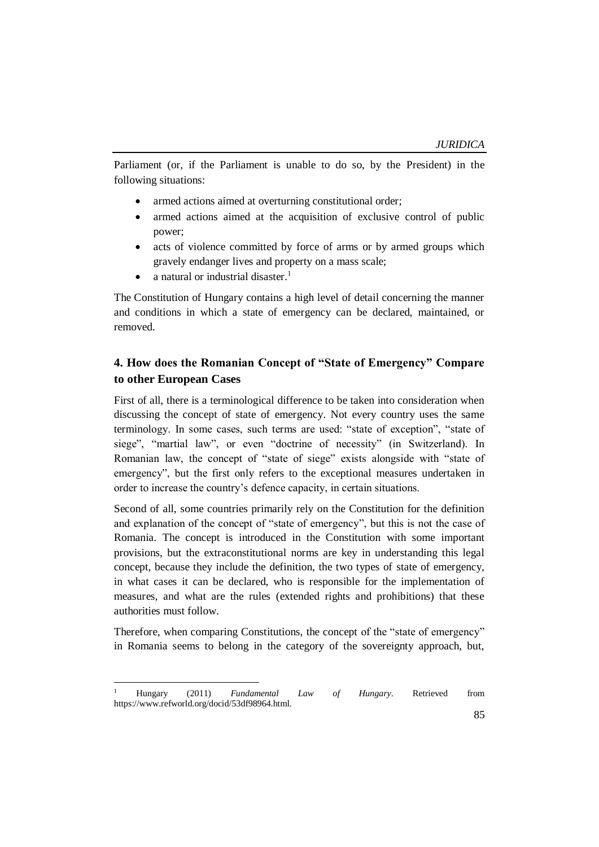Parliament (or, if the Parliament is unable to do so, by the President) in the following situations:

- armed actions aimed at overturning constitutional order;
- armed actions aimed at the acquisition of exclusive control of public power;
- acts of violence committed by force of arms or by armed groups which gravely endanger lives and property on a mass scale;
- a natural or industrial disaster.<sup>1</sup>

**.** 

The Constitution of Hungary contains a high level of detail concerning the manner and conditions in which a state of emergency can be declared, maintained, or removed.

# **4. How does the Romanian Concept of "State of Emergency" Compare to other European Cases**

First of all, there is a terminological difference to be taken into consideration when discussing the concept of state of emergency. Not every country uses the same terminology. In some cases, such terms are used: "state of exception", "state of siege", "martial law", or even "doctrine of necessity" (in Switzerland). In Romanian law, the concept of "state of siege" exists alongside with "state of emergency", but the first only refers to the exceptional measures undertaken in order to increase the country's defence capacity, in certain situations.

Second of all, some countries primarily rely on the Constitution for the definition and explanation of the concept of "state of emergency", but this is not the case of Romania. The concept is introduced in the Constitution with some important provisions, but the extraconstitutional norms are key in understanding this legal concept, because they include the definition, the two types of state of emergency, in what cases it can be declared, who is responsible for the implementation of measures, and what are the rules (extended rights and prohibitions) that these authorities must follow.

Therefore, when comparing Constitutions, the concept of the "state of emergency" in Romania seems to belong in the category of the sovereignty approach, but,

<sup>1</sup> Hungary (2011) *Fundamental Law of Hungary*. Retrieved from https://www.refworld.org/docid/53df98964.html.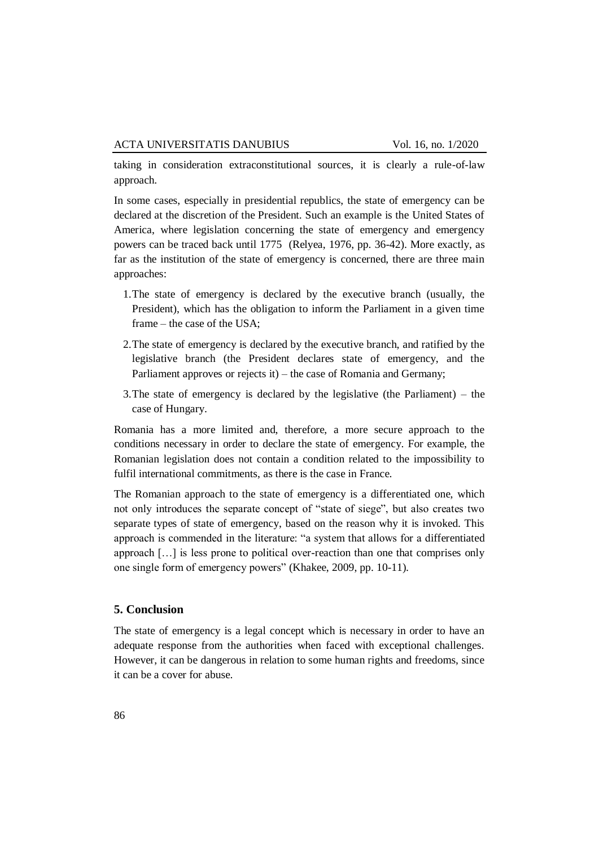taking in consideration extraconstitutional sources, it is clearly a rule-of-law approach.

In some cases, especially in presidential republics, the state of emergency can be declared at the discretion of the President. Such an example is the United States of America, where legislation concerning the state of emergency and emergency powers can be traced back until 1775 (Relyea, 1976, pp. 36-42). More exactly, as far as the institution of the state of emergency is concerned, there are three main approaches:

- 1.The state of emergency is declared by the executive branch (usually, the President), which has the obligation to inform the Parliament in a given time frame – the case of the USA;
- 2.The state of emergency is declared by the executive branch, and ratified by the legislative branch (the President declares state of emergency, and the Parliament approves or rejects it) – the case of Romania and Germany;
- 3.The state of emergency is declared by the legislative (the Parliament) the case of Hungary.

Romania has a more limited and, therefore, a more secure approach to the conditions necessary in order to declare the state of emergency. For example, the Romanian legislation does not contain a condition related to the impossibility to fulfil international commitments, as there is the case in France.

The Romanian approach to the state of emergency is a differentiated one, which not only introduces the separate concept of "state of siege", but also creates two separate types of state of emergency, based on the reason why it is invoked. This approach is commended in the literature: "a system that allows for a differentiated approach […] is less prone to political over-reaction than one that comprises only one single form of emergency powers" (Khakee, 2009, pp. 10-11).

#### **5. Conclusion**

The state of emergency is a legal concept which is necessary in order to have an adequate response from the authorities when faced with exceptional challenges. However, it can be dangerous in relation to some human rights and freedoms, since it can be a cover for abuse.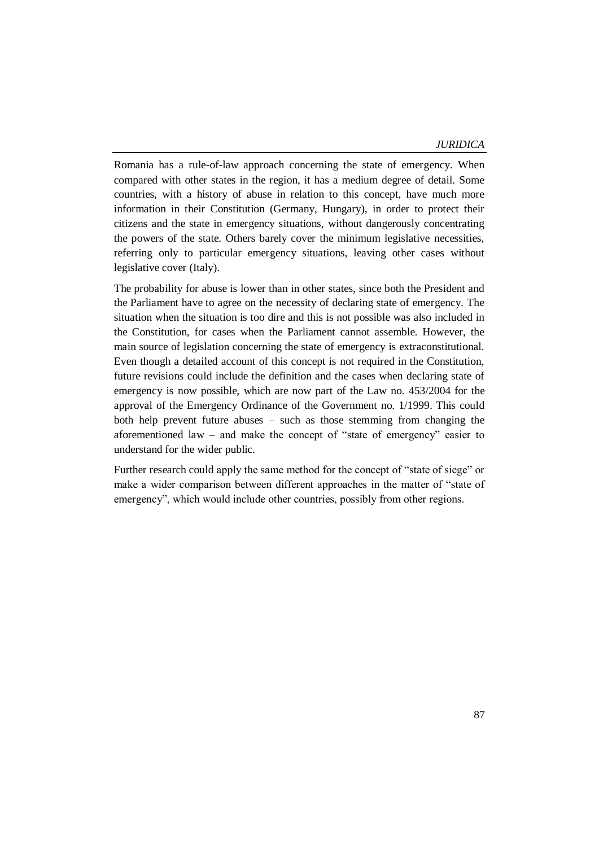Romania has a rule-of-law approach concerning the state of emergency. When compared with other states in the region, it has a medium degree of detail. Some countries, with a history of abuse in relation to this concept, have much more information in their Constitution (Germany, Hungary), in order to protect their citizens and the state in emergency situations, without dangerously concentrating the powers of the state. Others barely cover the minimum legislative necessities, referring only to particular emergency situations, leaving other cases without legislative cover (Italy).

The probability for abuse is lower than in other states, since both the President and the Parliament have to agree on the necessity of declaring state of emergency. The situation when the situation is too dire and this is not possible was also included in the Constitution, for cases when the Parliament cannot assemble. However, the main source of legislation concerning the state of emergency is extraconstitutional. Even though a detailed account of this concept is not required in the Constitution, future revisions could include the definition and the cases when declaring state of emergency is now possible, which are now part of the Law no. 453/2004 for the approval of the Emergency Ordinance of the Government no. 1/1999. This could both help prevent future abuses – such as those stemming from changing the aforementioned law – and make the concept of "state of emergency" easier to understand for the wider public.

Further research could apply the same method for the concept of "state of siege" or make a wider comparison between different approaches in the matter of "state of emergency", which would include other countries, possibly from other regions.